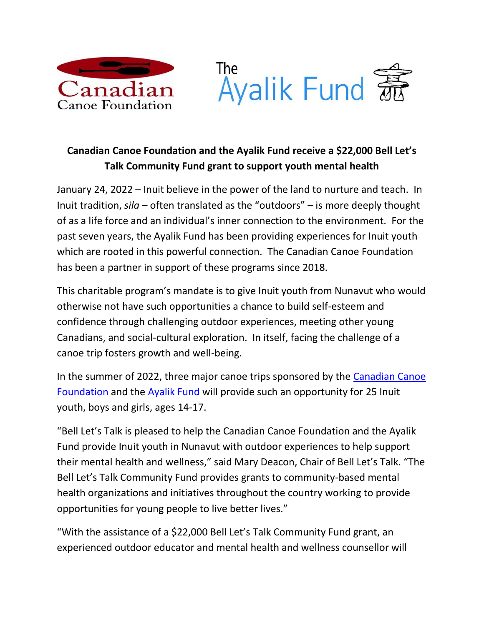



## **Canadian Canoe Foundation and the Ayalik Fund receive a \$22,000 Bell Let's Talk Community Fund grant to support youth mental health**

January 24, 2022 – Inuit believe in the power of the land to nurture and teach. In Inuit tradition, *sila* – often translated as the "outdoors" – is more deeply thought of as a life force and an individual's inner connection to the environment. For the past seven years, the Ayalik Fund has been providing experiences for Inuit youth which are rooted in this powerful connection. The Canadian Canoe Foundation has been a partner in support of these programs since 2018.

This charitable program's mandate is to give Inuit youth from Nunavut who would otherwise not have such opportunities a chance to build self-esteem and confidence through challenging outdoor experiences, meeting other young Canadians, and social-cultural exploration. In itself, facing the challenge of a canoe trip fosters growth and well-being.

In the summer of 2022, three major canoe trips sponsored by the [Canadian Canoe](http://www.canadiancanoefoundation.ca/)  [Foundation](http://www.canadiancanoefoundation.ca/) and the [Ayalik Fund](https://ayalikfund.ca/) will provide such an opportunity for 25 Inuit youth, boys and girls, ages 14-17.

"Bell Let's Talk is pleased to help the Canadian Canoe Foundation and the Ayalik Fund provide Inuit youth in Nunavut with outdoor experiences to help support their mental health and wellness," said Mary Deacon, Chair of Bell Let's Talk. "The Bell Let's Talk Community Fund provides grants to community-based mental health organizations and initiatives throughout the country working to provide opportunities for young people to live better lives."

"With the assistance of a \$22,000 Bell Let's Talk Community Fund grant, an experienced outdoor educator and mental health and wellness counsellor will